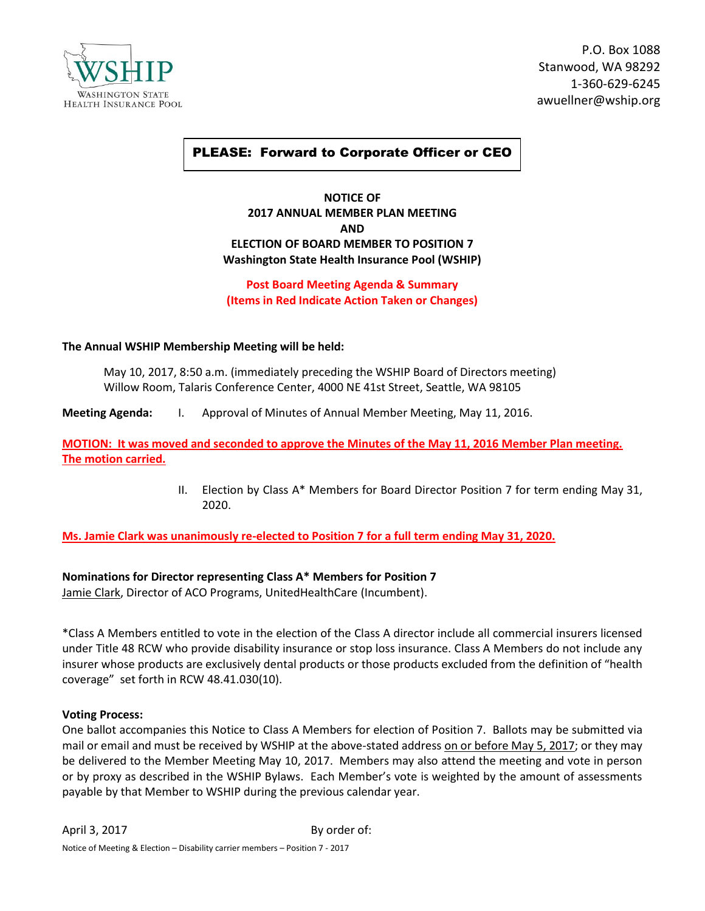

P.O. Box 1088 Stanwood, WA 98292 1-360-629-6245 awuellner@wship.org

# PLEASE: Forward to Corporate Officer or CEO

## **NOTICE OF 2017 ANNUAL MEMBER PLAN MEETING AND ELECTION OF BOARD MEMBER TO POSITION 7 Washington State Health Insurance Pool (WSHIP)**

# **Post Board Meeting Agenda & Summary (Items in Red Indicate Action Taken or Changes)**

### **The Annual WSHIP Membership Meeting will be held:**

May 10, 2017, 8:50 a.m. (immediately preceding the WSHIP Board of Directors meeting) Willow Room, Talaris Conference Center, 4000 NE 41st Street, Seattle, WA 98105

**Meeting Agenda:** I. Approval of Minutes of Annual Member Meeting, May 11, 2016.

**MOTION: It was moved and seconded to approve the Minutes of the May 11, 2016 Member Plan meeting. The motion carried.**

> II. Election by Class A\* Members for Board Director Position 7 for term ending May 31, 2020.

**Ms. Jamie Clark was unanimously re-elected to Position 7 for a full term ending May 31, 2020.**

### **Nominations for Director representing Class A\* Members for Position 7**

Jamie Clark, Director of ACO Programs, UnitedHealthCare (Incumbent).

\*Class A Members entitled to vote in the election of the Class A director include all commercial insurers licensed under Title 48 RCW who provide disability insurance or stop loss insurance. Class A Members do not include any insurer whose products are exclusively dental products or those products excluded from the definition of "health coverage" set forth in RCW 48.41.030(10).

#### **Voting Process:**

One ballot accompanies this Notice to Class A Members for election of Position 7. Ballots may be submitted via mail or email and must be received by WSHIP at the above-stated address on or before May 5, 2017; or they may be delivered to the Member Meeting May 10, 2017. Members may also attend the meeting and vote in person or by proxy as described in the WSHIP Bylaws. Each Member's vote is weighted by the amount of assessments payable by that Member to WSHIP during the previous calendar year.